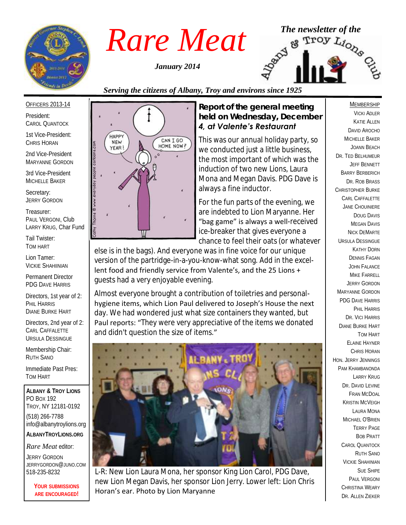

*January 2014*



## *Serving the citizens of Albany, Troy and environs since 1925*

#### OFFICERS 2013-14

President: CAROL QUANTOCK

1st Vice-President: CHRIS HORAN

2nd Vice-President MARYANNE GORDON

3rd Vice-President MICHELLE BAKER

Secretary: JERRY GORDON

Treasurer: PAUL VERGONI, Club LARRY KRUG, Char Fund

Tail Twister: TOM HART

Lion Tamer: VICKIE SHAHIINIAN

Permanent Director PDG DAVE HARRIS

Directors, 1st year of 2: PHIL HARRIS DIANE BURKE HART

Directors, 2nd year of 2: CARL CAFFALETTE URSULA DESSINGUE

Membership Chair: RUTH SANO

Immediate Past Pres: TOM HART

**ALBANY & TROY LIONS** PO BOX 192 TROY, NY 12181-0192 (518) 266-7788 info@albanytroylions.org **ALBANYTROYLIONS.ORG**

*Rare Meat* editor:

JERRY GORDON JERRYGORDON@JUNO.COM 518-235-8232

> **YOUR SUBMISSIONS ARE ENCOURAGED!**



#### *Report of the general meeting held on Wednesday, December 4, at Valente's Restaurant*

This was our annual holiday party, so we conducted just a little business, the most important of which was the induction of two new Lions, Laura Mona and Megan Davis. PDG Dave is always a fine inductor.

For the fun parts of the evening, we are indebted to Lion Maryanne. Her "bag game" is always a well-received ice-breaker that gives everyone a chance to feel their oats (or whatever

else is in the bags). And everyone was in fine voice for our unique version of the partridge-in-a-you-know-what song. Add in the excellent food and friendly service from Valente's, and the 25 Lions + guests had a very enjoyable evening.

Almost everyone brought a contribution of toiletries and personalhygiene items, which Lion Paul delivered to Joseph's House the next day. We had wondered just what size containers they wanted, but Paul reports: "They were very appreciative of the items we donated and didn't question the size of items."



L-R: New Lion Laura Mona, her sponsor King Lion Carol, PDG Dave, new Lion Megan Davis, her sponsor Lion Jerry. Lower left: Lion Chris Horan's ear. Photo by Lion Maryanne

#### **MEMBERSHIP**

VICKI ADLER KATIE ALLEN DAVID AROCHO MICHELLE BAKER JOANN BEACH DR. TED BELHUMEUR JEFF BENNETT BARRY BERBERICH DR. ROB BRASS CHRISTOPHER BURKE CARL CAFFALETTE JANE CHOUINIERE DOUG DAVIS MEGAN DAVIS NICK DEMARTE URSULA DESSINGUE KATHY DORN DENNIS FAGAN JOHN FALANCE MIKE FARRELL JERRY GORDON MARYANNE GORDON PDG DAVE HARRIS PHIL HARRIS DR. VICI HARRIS DIANE BURKE HART TOM HART ELAINE HAYNER CHRIS HORAN HON. JERRY JENNINGS PAM KHAMBANONDA LARRY KRUG DR. DAVID I FVINE FRAN MCDOAL KRISTIN MCVEIGH LAURA MONA MICHAEL O'BRIEN TERRY PAGE BOB PRATT CAROL QUANTOCK RUTH SANO VICKIE SHAHINIAN SUE SHIPE PAUL VERGONI CHRISTINA WEARY DR. ALLEN ZIEKER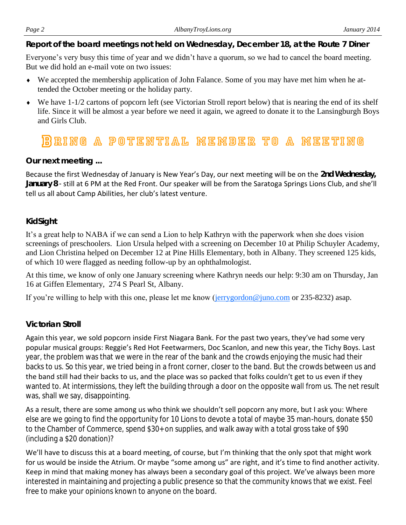#### *Page 2 AlbanyTroyLions.org January 2014*

*Report of the board meetings not held on Wednesday, December 18, at the Route 7 Diner* 

Everyone's very busy this time of year and we didn't have a quorum, so we had to cancel the board meeting. But we did hold an e-mail vote on two issues:

- We accepted the membership application of John Falance. Some of you may have met him when he attended the October meeting or the holiday party.
- We have 1-1/2 cartons of popcorn left (see Victorian Stroll report below) that is nearing the end of its shelf life. Since it will be almost a year before we need it again, we agreed to donate it to the Lansingburgh Boys and Girls Club.

# 18) BING A POTENTIAL MEMBER TO A MEETING

#### *Our next meeting ...*

Because the first Wednesday of January is New Year's Day, our next meeting will be on the **2nd Wednesday, January 8** - still at 6 PM at the Red Front. Our speaker will be from the Saratoga Springs Lions Club, and she'll tell us all about Camp Abilities, her club's latest venture.

#### *KidSight*

It's a great help to NABA if we can send a Lion to help Kathryn with the paperwork when she does vision screenings of preschoolers. Lion Ursula helped with a screening on December 10 at Philip Schuyler Academy, and Lion Christina helped on December 12 at Pine Hills Elementary, both in Albany. They screened 125 kids, of which 10 were flagged as needing follow-up by an ophthalmologist.

At this time, we know of only one January screening where Kathryn needs our help: 9:30 am on Thursday, Jan 16 at Giffen Elementary, 274 S Pearl St, Albany.

If you're willing to help with this one, please let me know ([jerrygordon@juno.com](mailto:jerrygordon@juno.com) or 235-8232) asap.

## *Victorian Stroll*

Again this year, we sold popcorn inside First Niagara Bank. For the past two years, they've had some very popular musical groups: Reggie's Red Hot Feetwarmers, Doc Scanlon, and new this year, the Tichy Boys. Last year, the problem was that we were in the rear of the bank and the crowds enjoying the music had their backs to us. So this year, we tried being in a front corner, closer to the band. But the crowds between us and the band still had their backs to us, and the place was so packed that folks couldn't get to us even if they wanted to. At intermissions, they left the building through a door on the opposite wall from us. The net result was, shall we say, disappointing.

As a result, there are some among us who think we shouldn't sell popcorn any more, but I ask you: Where else are we going to find the opportunity for 10 Lions to devote a total of maybe 35 man-hours, donate \$50 to the Chamber of Commerce, spend \$30+ on supplies, and walk away with a total gross take of \$90 (including a \$20 donation)?

We'll have to discuss this at a board meeting, of course, but I'm thinking that the only spot that might work for us would be inside the Atrium. Or maybe "some among us" are right, and it's time to find another activity. Keep in mind that making money has always been a secondary goal of this project. We've always been more interested in maintaining and projecting a public presence so that the community knows that we exist. Feel free to make your opinions known to anyone on the board.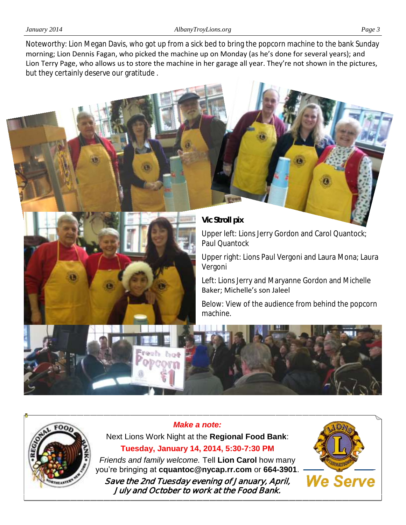Noteworthy: Lion Megan Davis, who got up from a sick bed to bring the popcorn machine to the bank Sunday morning; Lion Dennis Fagan, who picked the machine up on Monday (as he's done for several years); and Lion Terry Page, who allows us to store the machine in her garage all year. They're not shown in the pictures, but they certainly deserve our gratitude .





Upper left: Lions Jerry Gordon and Carol Quantock; Paul Quantock

Upper right: Lions Paul Vergoni and Laura Mona; Laura Vergoni

Left: Lions Jerry and Maryanne Gordon and Michelle Baker; Michelle's son Jaleel

Below: View of the audience from behind the popcorn machine.





**Tuesday, January 14, 2014, 5:30-7:30 PM** *Friends and family welcome.* Tell **Lion Carol** how many you're bringing at **cquantoc@nycap.rr.com** or **664-3901**. **Save the 2nd Tuesday evening of January, April,** 

*Make a note:* Next Lions Work Night at the **Regional Food Bank**:

**July and October to work at the Food Bank.** 

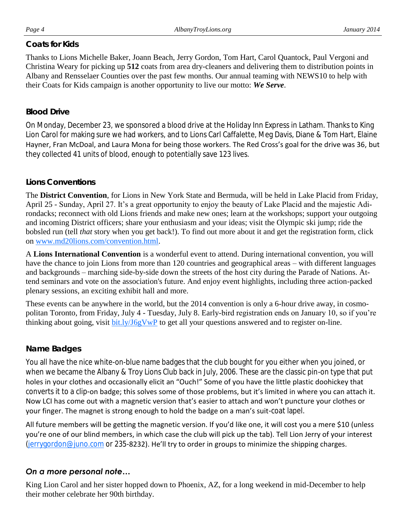#### *Coats for Kids*

Thanks to Lions Michelle Baker, Joann Beach, Jerry Gordon, Tom Hart, Carol Quantock, Paul Vergoni and Christina Weary for picking up **512** coats from area dry-cleaners and delivering them to distribution points in Albany and Rensselaer Counties over the past few months. Our annual teaming with NEWS10 to help with their Coats for Kids campaign is another opportunity to live our motto: *We Serve*.

#### *Blood Drive*

On Monday, December 23, we sponsored a blood drive at the Holiday Inn Express in Latham. Thanks to King Lion Carol for making sure we had workers, and to Lions Carl Caffalette, Meg Davis, Diane & Tom Hart, Elaine Hayner, Fran McDoal, and Laura Mona for being those workers. The Red Cross's goal for the drive was 36, but they collected 41 units of blood, enough to potentially save 123 lives.

#### *Lions Conventions*

The **District Convention**, for Lions in New York State and Bermuda, will be held in Lake Placid from Friday, April 25 - Sunday, April 27. It's a great opportunity to enjoy the beauty of Lake Placid and the majestic Adirondacks; reconnect with old Lions friends and make new ones; learn at the workshops; support your outgoing and incoming District officers; share your enthusiasm and your ideas; visit the Olympic ski jump; ride the bobsled run (tell *that* story when you get back!). To find out more about it and get the registration form, click on [www.md20lions.com/convention.html.](http://www.md20lions.com/convention.html) 

A **Lions International Convention** is a wonderful event to attend. During international convention, you will have the chance to join Lions from more than 120 countries and geographical areas – with different languages and backgrounds – marching side-by-side down the streets of the host city during the Parade of Nations. Attend seminars and vote on the association's future. And enjoy event highlights, including three action-packed plenary sessions, an exciting exhibit hall and more.

These events can be anywhere in the world, but the 2014 convention is only a 6-hour drive away, in cosmopolitan Toronto, from Friday, July 4 - Tuesday, July 8. Early-bird registration ends on January 10, so if you're thinking about going, visit [bit.ly/J6gVwP](http://bit.ly/J6gVwP) to get all your questions answered and to register on-line.

## *Name Badges*

You all have the nice white-on-blue name badges that the club bought for you either when you joined, or when we became the Albany & Troy Lions Club back in July, 2006. These are the classic pin-on type that put holes in your clothes and occasionally elicit an "Ouch!" Some of you have the little plastic doohickey that converts it to a clip-on badge; this solves some of those problems, but it's limited in where you can attach it. Now LCI has come out with a magnetic version that's easier to attach and won't puncture your clothes or your finger. The magnet is strong enough to hold the badge on a man's suit-coat lapel.

All future members will be getting the magnetic version. If you'd like one, it will cost you a mere \$10 (unless you're one of our blind members, in which case the club will pick up the tab). Tell Lion Jerry of your interest [\(jerrygordon@juno.com](mailto:jerrygordon@juno.com) or 235-8232). He'll try to order in groups to minimize the shipping charges.

## *On a more personal note…*

King Lion Carol and her sister hopped down to Phoenix, AZ, for a long weekend in mid-December to help their mother celebrate her 90th birthday.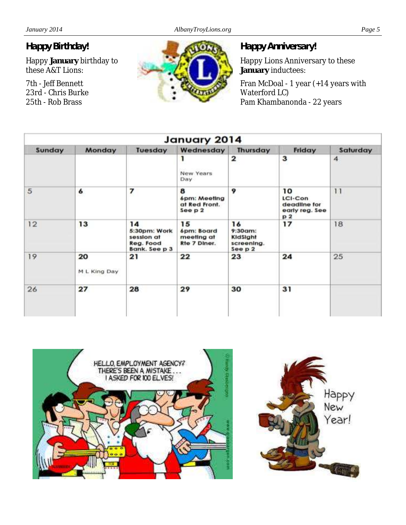# *Happy Birthday!*

Happy **January** birthday to these A&T Lions:

7th - Jeff Bennett 23rd - Chris Burke 25th - Rob Brass



# *Happy Anniversary!*

Happy Lions Anniversary to these **January** inductees:

Fran McDoal - 1 year (+14 years with Waterford LC) Pam Khambanonda - 22 years

| January 2014 |                    |                                                                |                                                |                                                       |                                                       |                 |
|--------------|--------------------|----------------------------------------------------------------|------------------------------------------------|-------------------------------------------------------|-------------------------------------------------------|-----------------|
| Sunday       | Monday             | Tuesday                                                        | Wednesday                                      | <b>Thursday</b>                                       | Friday                                                | Saturday        |
|              |                    |                                                                | ı<br>New Years<br>Day                          | 2                                                     | 3                                                     | $\overline{4}$  |
| 5            | 6                  | 7                                                              | 8<br>6pm: Meeting<br>at Red Front.<br>See p 2  | 9                                                     | 10<br>LCI-Con<br>deadline for<br>early reg. See<br>p2 | $\overline{11}$ |
| 12           | 13                 | 14<br>5:30pm: Work<br>session at<br>Reg. Food<br>Bank. See p 3 | 15<br>6pm: Board<br>meeting at<br>Rte 7 Diner. | 16<br>$9:30$ am:<br>KidSight<br>screening.<br>See p 2 | 17                                                    | 18              |
| 19           | 20<br>M L King Day | 21                                                             | 22                                             | 23                                                    | 24                                                    | 25              |
| 26           | 27                 | 28                                                             | 29                                             | 30                                                    | 31                                                    |                 |